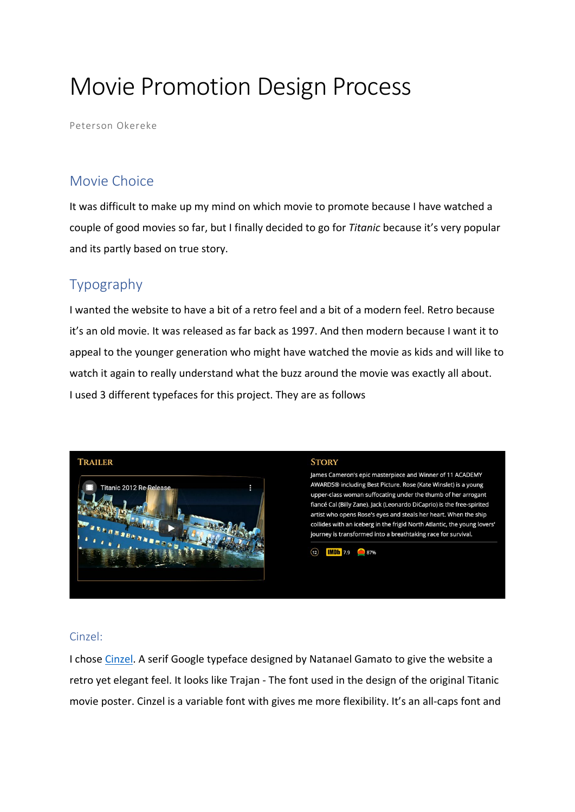# Movie Promotion Design Process

Peterson Okereke

# Movie Choice

It was difficult to make up my mind on which movie to promote because I have watched a couple of good movies so far, but I finally decided to go for *Titanic* because it's very popular and its partly based on true story.

# Typography

I wanted the website to have a bit of a retro feel and a bit of a modern feel. Retro because it's an old movie. It was released as far back as 1997. And then modern because I want it to appeal to the younger generation who might have watched the movie as kids and will like to watch it again to really understand what the buzz around the movie was exactly all about. I used 3 different typefaces for this project. They are as follows



#### Cinzel:

I chose [Cinzel.](https://fonts.google.com/specimen/Cinzel?query=Cinzel) A serif Google typeface designed by Natanael Gamato to give the website a retro yet elegant feel. It looks like Trajan - The font used in the design of the original Titanic movie poster. Cinzel is a variable font with gives me more flexibility. It's an all-caps font and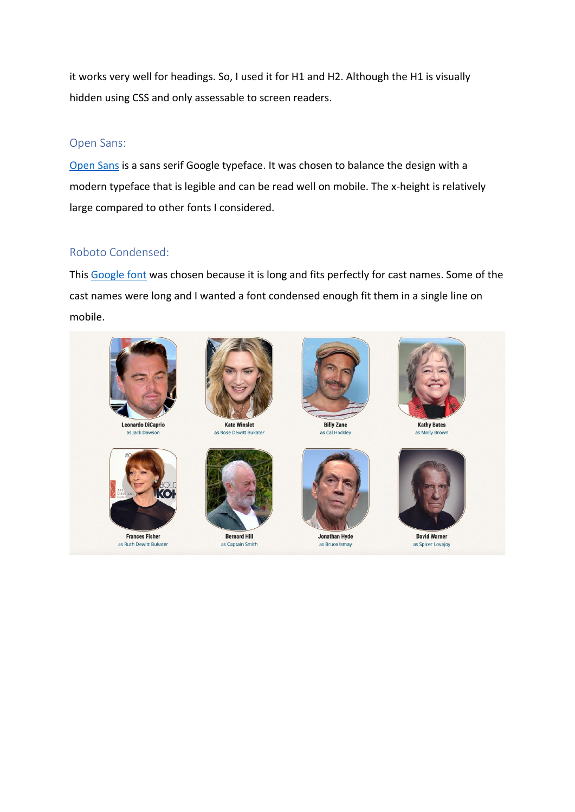it works very well for headings. So, I used it for H1 and H2. Although the H1 is visually hidden using CSS and only assessable to screen readers.

#### Open Sans:

[Open Sans](https://fonts.google.com/specimen/Open+Sans?query=open+s) is a sans serif Google typeface. It was chosen to balance the design with a modern typeface that is legible and can be read well on mobile. The x-height is relatively large compared to other fonts I considered.

#### Roboto Condensed:

This [Google font](https://fonts.google.com/specimen/Roboto+Condensed?query=roboto+co) was chosen because it is long and fits perfectly for cast names. Some of the cast names were long and I wanted a font condensed enough fit them in a single line on mobile.

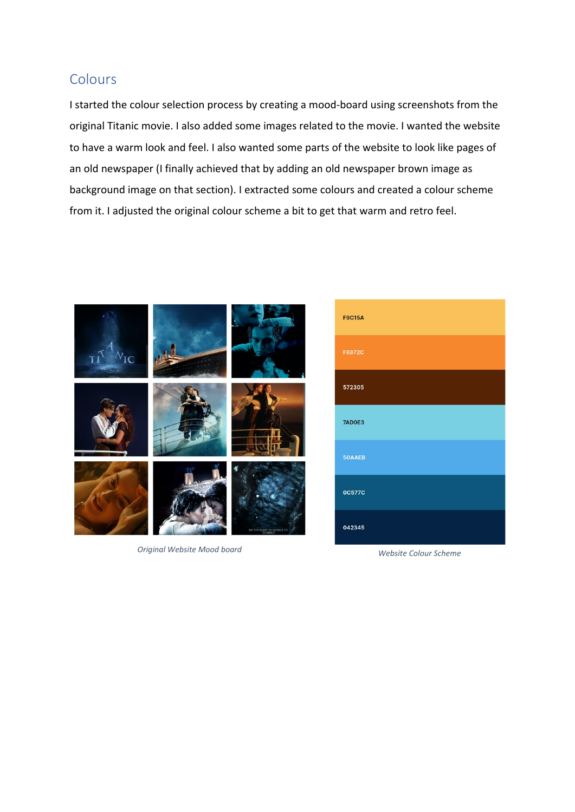## Colours

I started the colour selection process by creating a mood-board using screenshots from the original Titanic movie. I also added some images related to the movie. I wanted the website to have a warm look and feel. I also wanted some parts of the website to look like pages of an old newspaper (I finally achieved that by adding an old newspaper brown image as background image on that section). I extracted some colours and created a colour scheme from it. I adjusted the original colour scheme a bit to get that warm and retro feel.



*Original Website Mood board Website Colour Scheme*

| <b>F9C15A</b> |
|---------------|
| F6872C        |
| 572305        |
| 7AD0E3        |
| 50AAEB        |
| <b>0C577C</b> |
| 042345        |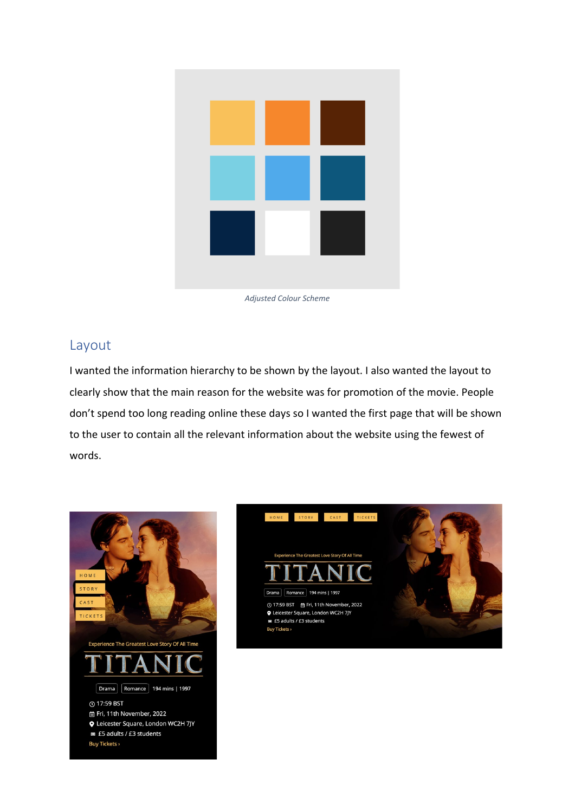*Adjusted Colour Scheme*

### Layout

I wanted the information hierarchy to be shown by the layout. I also wanted the layout to clearly show that the main reason for the website was for promotion of the movie. People don't spend too long reading online these days so I wanted the first page that will be shown to the user to contain all the relevant information about the website using the fewest of words.



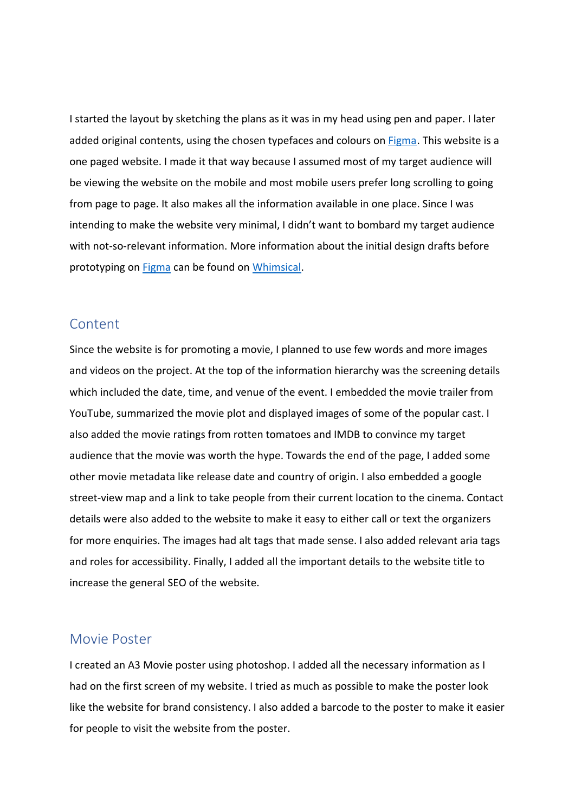I started the layout by sketching the plans as it was in my head using pen and paper. I later added original contents, using the chosen typefaces and colours on [Figma.](https://www.figma.com/file/3DcFdIVZDYI1VENUObrUUX/Titanic-Movie-Project?node-id=0%3A1) This website is a one paged website. I made it that way because I assumed most of my target audience will be viewing the website on the mobile and most mobile users prefer long scrolling to going from page to page. It also makes all the information available in one place. Since I was intending to make the website very minimal, I didn't want to bombard my target audience with not-so-relevant information. More information about the initial design drafts before prototyping on [Figma](https://www.figma.com/file/3DcFdIVZDYI1VENUObrUUX/Titanic-Movie-Project?node-id=0%3A1) can be found on [Whimsical.](https://whimsical.com/movie-promotion-titanic-K7GiFjxw96fVU14QgCdqVv)

#### Content

Since the website is for promoting a movie, I planned to use few words and more images and videos on the project. At the top of the information hierarchy was the screening details which included the date, time, and venue of the event. I embedded the movie trailer from YouTube, summarized the movie plot and displayed images of some of the popular cast. I also added the movie ratings from rotten tomatoes and IMDB to convince my target audience that the movie was worth the hype. Towards the end of the page, I added some other movie metadata like release date and country of origin. I also embedded a google street-view map and a link to take people from their current location to the cinema. Contact details were also added to the website to make it easy to either call or text the organizers for more enquiries. The images had alt tags that made sense. I also added relevant aria tags and roles for accessibility. Finally, I added all the important details to the website title to increase the general SEO of the website.

#### Movie Poster

I created an A3 Movie poster using photoshop. I added all the necessary information as I had on the first screen of my website. I tried as much as possible to make the poster look like the website for brand consistency. I also added a barcode to the poster to make it easier for people to visit the website from the poster.